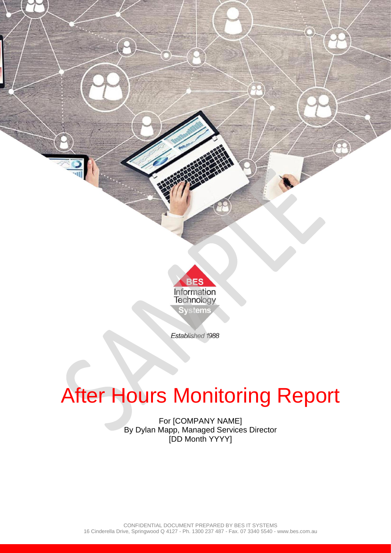

# After Hours Monitoring Report

For [COMPANY NAME] By Dylan Mapp, Managed Services Director [DD Month YYYY]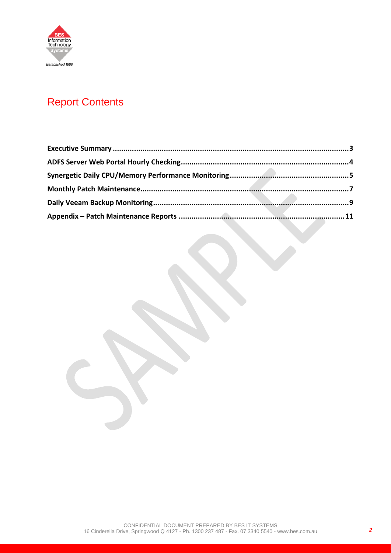

# Report Contents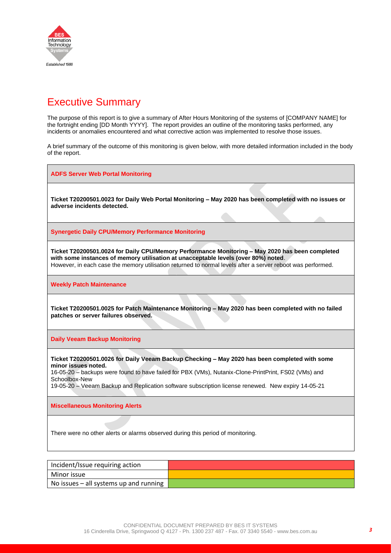

### <span id="page-2-0"></span>Executive Summary

The purpose of this report is to give a summary of After Hours Monitoring of the systems of [COMPANY NAME] for the fortnight ending [DD Month YYYY]. The report provides an outline of the monitoring tasks performed, any incidents or anomalies encountered and what corrective action was implemented to resolve those issues.

A brief summary of the outcome of this monitoring is given below, with more detailed information included in the body of the report.

**ADFS Server Web Portal Monitoring Ticket T20200501.0023 for Daily Web Portal Monitoring – May 2020 has been completed with no issues or adverse incidents detected. Synergetic Daily CPU/Memory Performance Monitoring Ticket T20200501.0024 for Daily CPU/Memory Performance Monitoring – May 2020 has been completed with some instances of memory utilisation at unacceptable levels (over 80%) noted**. However, in each case the memory utilisation returned to normal levels after a server reboot was performed. **Weekly Patch Maintenance Ticket T20200501.0025 for Patch Maintenance Monitoring – May 2020 has been completed with no failed patches or server failures observed. Daily Veeam Backup Monitoring Ticket T20200501.0026 for Daily Veeam Backup Checking – May 2020 has been completed with some minor issues noted.** 16-05-20 – backups were found to have failed for PBX (VMs), Nutanix-Clone-PrintPrint, FS02 (VMs) and Schoolbox-New 19-05-20 – Veeam Backup and Replication software subscription license renewed. New expiry 14-05-21 **Miscellaneous Monitoring Alerts** There were no other alerts or alarms observed during this period of monitoring.

| Incident/Issue requiring action          |  |
|------------------------------------------|--|
| Minor issue                              |  |
| No issues $-$ all systems up and running |  |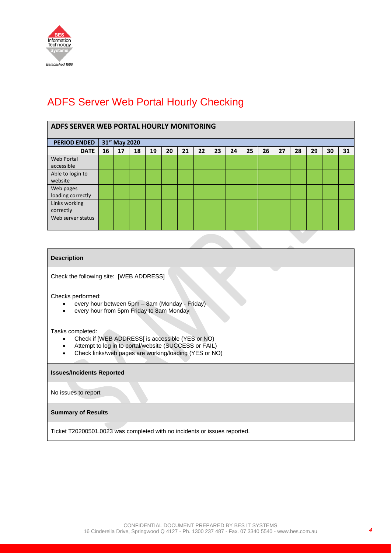

## <span id="page-3-0"></span>ADFS Server Web Portal Hourly Checking

| ADFS SERVER WEB PORTAL HOURLY MONITORING |    |               |    |    |    |    |    |    |    |    |    |    |    |    |    |    |
|------------------------------------------|----|---------------|----|----|----|----|----|----|----|----|----|----|----|----|----|----|
| <b>PERIOD ENDED</b>                      |    | 31st May 2020 |    |    |    |    |    |    |    |    |    |    |    |    |    |    |
| <b>DATE</b>                              | 16 | 17            | 18 | 19 | 20 | 21 | 22 | 23 | 24 | 25 | 26 | 27 | 28 | 29 | 30 | 31 |
| <b>Web Portal</b><br>accessible          |    |               |    |    |    |    |    |    |    |    |    |    |    |    |    |    |
| Able to login to<br>website              |    |               |    |    |    |    |    |    |    |    |    |    |    |    |    |    |
| Web pages<br>loading correctly           |    |               |    |    |    |    |    |    |    |    |    |    |    |    |    |    |
| Links working<br>correctly               |    |               |    |    |    |    |    |    |    |    |    |    |    |    |    |    |
| Web server status                        |    |               |    |    |    |    |    |    |    |    |    |    |    |    |    |    |
|                                          |    |               |    |    |    |    |    |    |    |    |    |    |    |    |    |    |

#### **Description**

Check the following site: [WEB ADDRESS]

Checks performed:

- every hour between 5pm 8am (Monday Friday)
- every hour from 5pm Friday to 8am Monday

#### Tasks completed:

- Check if [WEB ADDRESS] is accessible (YES or NO)
- Attempt to log in to portal/website (SUCCESS or FAIL)
- Check links/web pages are working/loading (YES or NO)

#### **Issues/Incidents Reported**

No issues to report

#### **Summary of Results**

Ticket T20200501.0023 was completed with no incidents or issues reported.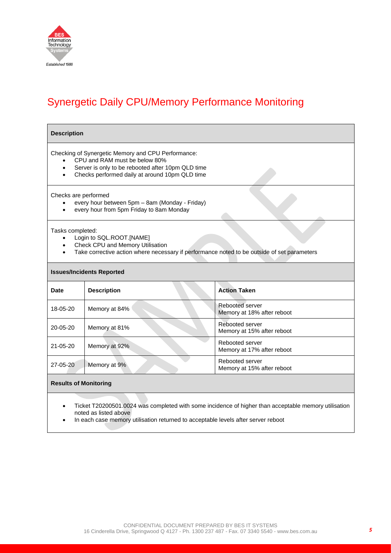

# <span id="page-4-0"></span>Synergetic Daily CPU/Memory Performance Monitoring

#### **Description**

Checking of Synergetic Memory and CPU Performance:

- CPU and RAM must be below 80%
- Server is only to be rebooted after 10pm QLD time
- Checks performed daily at around 10pm QLD time

#### Checks are performed

- every hour between 5pm 8am (Monday Friday)
- every hour from 5pm Friday to 8am Monday

#### Tasks completed:

- Login to SQL.ROOT.[NAME]
- Check CPU and Memory Utilisation
- Take corrective action where necessary if performance noted to be outside of set parameters

#### **Issues/Incidents Reported**

| Date           | <b>Description</b> | <b>Action Taken</b>                           |
|----------------|--------------------|-----------------------------------------------|
| 18-05-20       | Memory at 84%      | Rebooted server<br>Memory at 18% after reboot |
| $20 - 05 - 20$ | Memory at 81%      | Rebooted server<br>Memory at 15% after reboot |
| $21 - 05 - 20$ | Memory at 92%      | Rebooted server<br>Memory at 17% after reboot |
| 27-05-20       | Memory at 9%       | Rebooted server<br>Memory at 15% after reboot |

#### **Results of Monitoring**

- Ticket T20200501.0024 was completed with some incidence of higher than acceptable memory utilisation noted as listed above
- In each case memory utilisation returned to acceptable levels after server reboot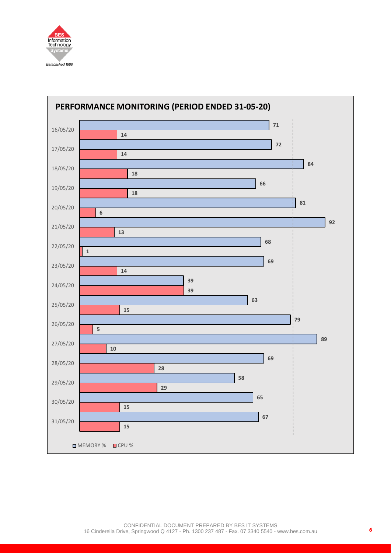

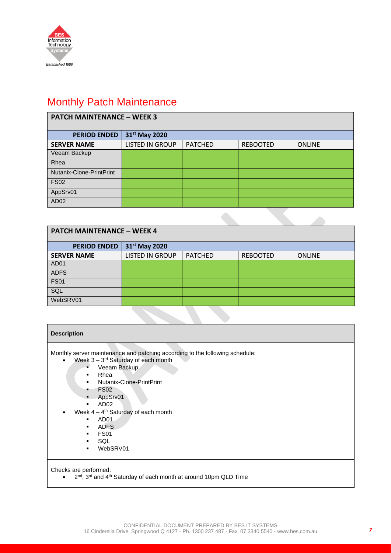

# <span id="page-6-0"></span>Monthly Patch Maintenance

| <b>PATCH MAINTENANCE - WEEK 3</b> |                           |                |                 |               |  |  |
|-----------------------------------|---------------------------|----------------|-----------------|---------------|--|--|
| <b>PERIOD ENDED</b>               | 31 <sup>st</sup> May 2020 |                |                 |               |  |  |
| <b>SERVER NAME</b>                | <b>LISTED IN GROUP</b>    | <b>PATCHED</b> | <b>REBOOTED</b> | <b>ONLINE</b> |  |  |
| Veeam Backup                      |                           |                |                 |               |  |  |
| Rhea                              |                           |                |                 |               |  |  |
| Nutanix-Clone-PrintPrint          |                           |                |                 |               |  |  |
| <b>FS02</b>                       |                           |                |                 |               |  |  |
| AppSrv01                          |                           |                |                 |               |  |  |
| AD <sub>02</sub>                  |                           |                |                 |               |  |  |

| <b>PATCH MAINTENANCE - WEEK 4</b> |                           |                |                 |               |  |  |
|-----------------------------------|---------------------------|----------------|-----------------|---------------|--|--|
| <b>PERIOD ENDED</b>               | 31 <sup>st</sup> May 2020 |                |                 |               |  |  |
| <b>SERVER NAME</b>                | <b>LISTED IN GROUP</b>    | <b>PATCHED</b> | <b>REBOOTED</b> | <b>ONLINE</b> |  |  |
| AD <sub>01</sub>                  |                           |                |                 |               |  |  |
| <b>ADFS</b>                       |                           |                |                 |               |  |  |
| <b>FS01</b>                       |                           |                |                 |               |  |  |
| SQL                               |                           |                |                 |               |  |  |
| WebSRV01                          |                           |                |                 |               |  |  |

| <b>Description</b>                                                                                                                                                                                                                                                                                                                                                                                  |
|-----------------------------------------------------------------------------------------------------------------------------------------------------------------------------------------------------------------------------------------------------------------------------------------------------------------------------------------------------------------------------------------------------|
| Monthly server maintenance and patching according to the following schedule:<br>Week $3 - 3^{rd}$ Saturday of each month<br>$\bullet$<br>Veeam Backup<br>п<br>Rhea<br>Nutanix-Clone-PrintPrint<br>٠<br><b>FS02</b><br>AppSrv01<br>$\blacksquare$<br>AD <sub>02</sub><br>Week $4 - 4$ <sup>th</sup> Saturday of each month<br>AD <sub>01</sub><br><b>ADFS</b><br><b>FS01</b><br>SQL<br>WebSRV01<br>٠ |
| Checks are performed:                                                                                                                                                                                                                                                                                                                                                                               |

 $\bullet$  2<sup>nd</sup>, 3<sup>rd</sup> and 4<sup>th</sup> Saturday of each month at around 10pm QLD Time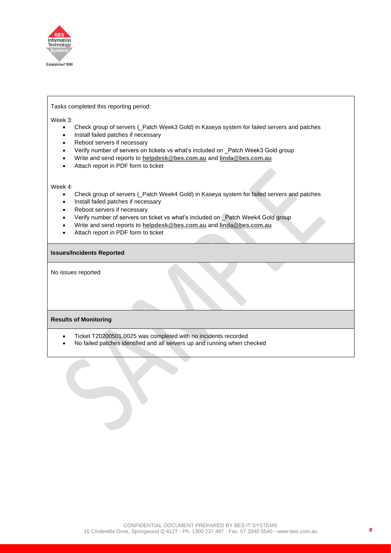

#### Tasks completed this reporting period:

Week 3:

- Check group of servers (\_Patch Week3 Gold) in Kaseya system for failed servers and patches
- Install failed patches if necessary
- Reboot servers if necessary
- Verify number of servers on tickets vs what's included on \_Patch Week3 Gold group
- Write and send reports to **[helpdesk@bes.com.au](mailto:helpdesk@bes.com.au)** and **[linda@bes.com.au](mailto:linda@bes.com.au)**
- Attach report in PDF form to ticket

#### Week 4:

- Check group of servers (\_Patch Week4 Gold) in Kaseya system for failed servers and patches
- Install failed patches if necessary
- Reboot servers if necessary
- Verify number of servers on ticket vs what's included on \_Patch Week4 Gold group
- Write and send reports to **[helpdesk@bes.com.au](mailto:helpdesk@bes.com.au)** and **[linda@bes.com.au](mailto:linda@bes.com.au)**
- Attach report in PDF form to ticket

#### **Issues/Incidents Reported**

No issues reported

#### **Results of Monitoring**

- Ticket T20200501.0025 was completed with no incidents recorded
- No failed patches identified and all servers up and running when checked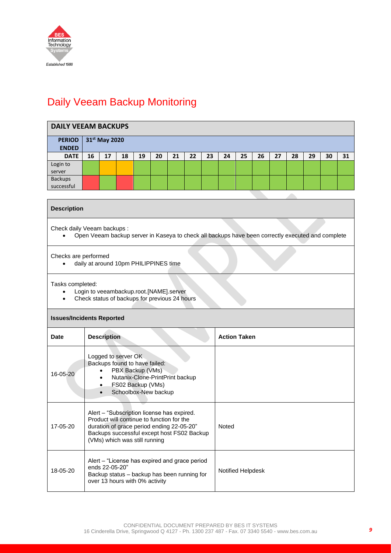

# <span id="page-8-0"></span>Daily Veeam Backup Monitoring

| <b>DAILY VEEAM BACKUPS</b>    |    |                           |    |    |    |    |    |    |    |    |    |    |    |    |    |    |
|-------------------------------|----|---------------------------|----|----|----|----|----|----|----|----|----|----|----|----|----|----|
| <b>PERIOD</b><br><b>ENDED</b> |    | 31 <sup>st</sup> May 2020 |    |    |    |    |    |    |    |    |    |    |    |    |    |    |
| <b>DATE</b>                   | 16 | 17                        | 18 | 19 | 20 | 21 | 22 | 23 | 24 | 25 | 26 | 27 | 28 | 29 | 30 | 31 |
| Login to<br>server            |    |                           |    |    |    |    |    |    |    |    |    |    |    |    |    |    |
| <b>Backups</b><br>successful  |    |                           |    |    |    |    |    |    |    |    |    |    |    |    |    |    |

#### **Description**

Check daily Veeam backups :

• Open Veeam backup server in Kaseya to check all backups have been correctly executed and complete

#### Checks are performed

• daily at around 10pm PHILIPPINES time

Tasks completed:

- Login to veeambackup.root.[NAME].server
- Check status of backups for previous 24 hours

#### **Issues/Incidents Reported**

| <b>Date</b> | <b>Description</b>                                                                                                                                                                                                  | <b>Action Taken</b> |
|-------------|---------------------------------------------------------------------------------------------------------------------------------------------------------------------------------------------------------------------|---------------------|
| 16-05-20    | Logged to server OK<br>Backups found to have failed:<br>PBX Backup (VMs)<br>Nutanix-Clone-PrintPrint backup<br>$\bullet$<br>FS02 Backup (VMs)<br>$\bullet$<br>Schoolbox-New backup                                  |                     |
| 17-05-20    | Alert - "Subscription license has expired.<br>Product will continue to function for the<br>duration of grace period ending 22-05-20"<br>Backups successful except host FS02 Backup<br>(VMs) which was still running | Noted               |
| 18-05-20    | Alert – "License has expired and grace period<br>ends 22-05-20"<br>Backup status – backup has been running for<br>over 13 hours with 0% activity                                                                    | Notified Helpdesk   |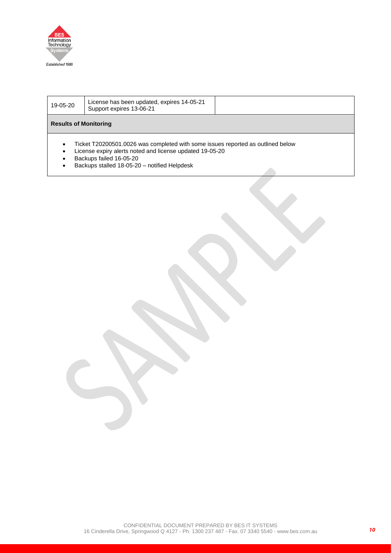

| 19-05-20                     | License has been updated, expires 14-05-21<br>Support expires 13-06-21                                                                                                                                                 |
|------------------------------|------------------------------------------------------------------------------------------------------------------------------------------------------------------------------------------------------------------------|
| <b>Results of Monitoring</b> |                                                                                                                                                                                                                        |
| ٠<br>٠                       | Ticket T20200501.0026 was completed with some issues reported as outlined below<br>License expiry alerts noted and license updated 19-05-20<br>Backups failed 16-05-20<br>Backups stalled 18-05-20 - notified Helpdesk |